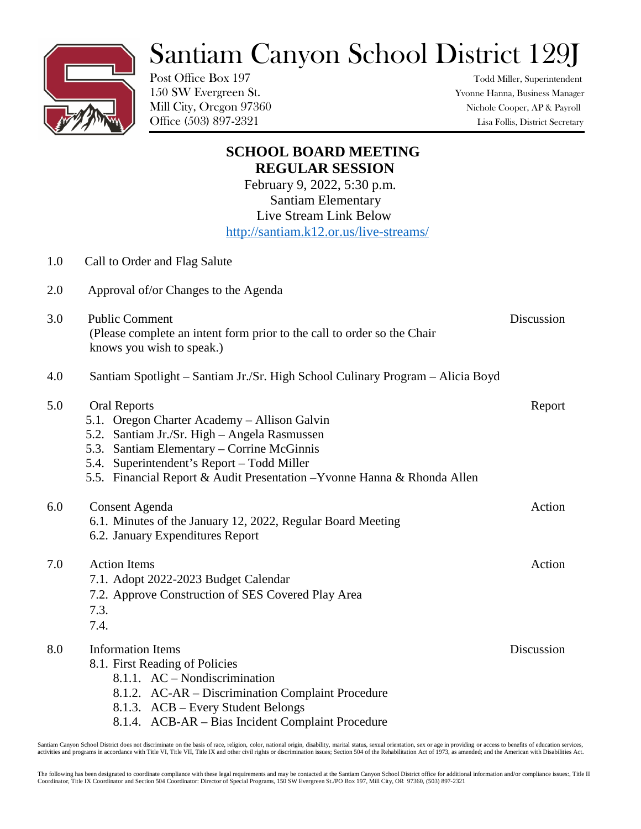## Santiam Canyon School District 129J

Post Office Box 197 Todd Miller, Superintendent

150 SW Evergreen St. Yvonne Hanna, Business Manager Mill City, Oregon 97360 Nichole Cooper, AP & Payroll Office (503) 897-2321 Lisa Follis, District Secretary

| <b>SCHOOL BOARD MEETING</b> |                                                                                                                        |            |
|-----------------------------|------------------------------------------------------------------------------------------------------------------------|------------|
|                             | <b>REGULAR SESSION</b>                                                                                                 |            |
|                             | February 9, 2022, 5:30 p.m.                                                                                            |            |
|                             | <b>Santiam Elementary</b><br>Live Stream Link Below                                                                    |            |
|                             | http://santiam.k12.or.us/live-streams/                                                                                 |            |
|                             |                                                                                                                        |            |
| 1.0                         | Call to Order and Flag Salute                                                                                          |            |
| 2.0                         | Approval of/or Changes to the Agenda                                                                                   |            |
| 3.0                         | <b>Public Comment</b>                                                                                                  | Discussion |
|                             | (Please complete an intent form prior to the call to order so the Chair                                                |            |
|                             | knows you wish to speak.)                                                                                              |            |
| 4.0                         | Santiam Spotlight – Santiam Jr./Sr. High School Culinary Program – Alicia Boyd                                         |            |
| 5.0                         | <b>Oral Reports</b>                                                                                                    | Report     |
|                             | 5.1. Oregon Charter Academy - Allison Galvin                                                                           |            |
|                             | 5.2. Santiam Jr./Sr. High - Angela Rasmussen                                                                           |            |
|                             | 5.3. Santiam Elementary – Corrine McGinnis                                                                             |            |
|                             | 5.4. Superintendent's Report - Todd Miller<br>5.5. Financial Report & Audit Presentation - Yvonne Hanna & Rhonda Allen |            |
|                             |                                                                                                                        |            |
| 6.0                         | <b>Consent Agenda</b>                                                                                                  | Action     |
|                             | 6.1. Minutes of the January 12, 2022, Regular Board Meeting                                                            |            |
|                             | 6.2. January Expenditures Report                                                                                       |            |
| 7.0                         | <b>Action Items</b>                                                                                                    | Action     |
|                             | 7.1. Adopt 2022-2023 Budget Calendar                                                                                   |            |
|                             | 7.2. Approve Construction of SES Covered Play Area                                                                     |            |
|                             | 7.3.                                                                                                                   |            |
|                             | 7.4.                                                                                                                   |            |
| 8.0                         | <b>Information Items</b>                                                                                               | Discussion |
|                             | 8.1. First Reading of Policies                                                                                         |            |
|                             | 8.1.1. AC - Nondiscrimination                                                                                          |            |
|                             | 8.1.2. AC-AR – Discrimination Complaint Procedure                                                                      |            |
|                             | 8.1.3. ACB – Every Student Belongs<br>8.1.4. ACB-AR - Bias Incident Complaint Procedure                                |            |
|                             |                                                                                                                        |            |

Santiam Canyon School District does not discriminate on the basis of race, religion, color, national origin, disability, marital status, sexual orientation, sex or age in providing or access to benefits of education servic